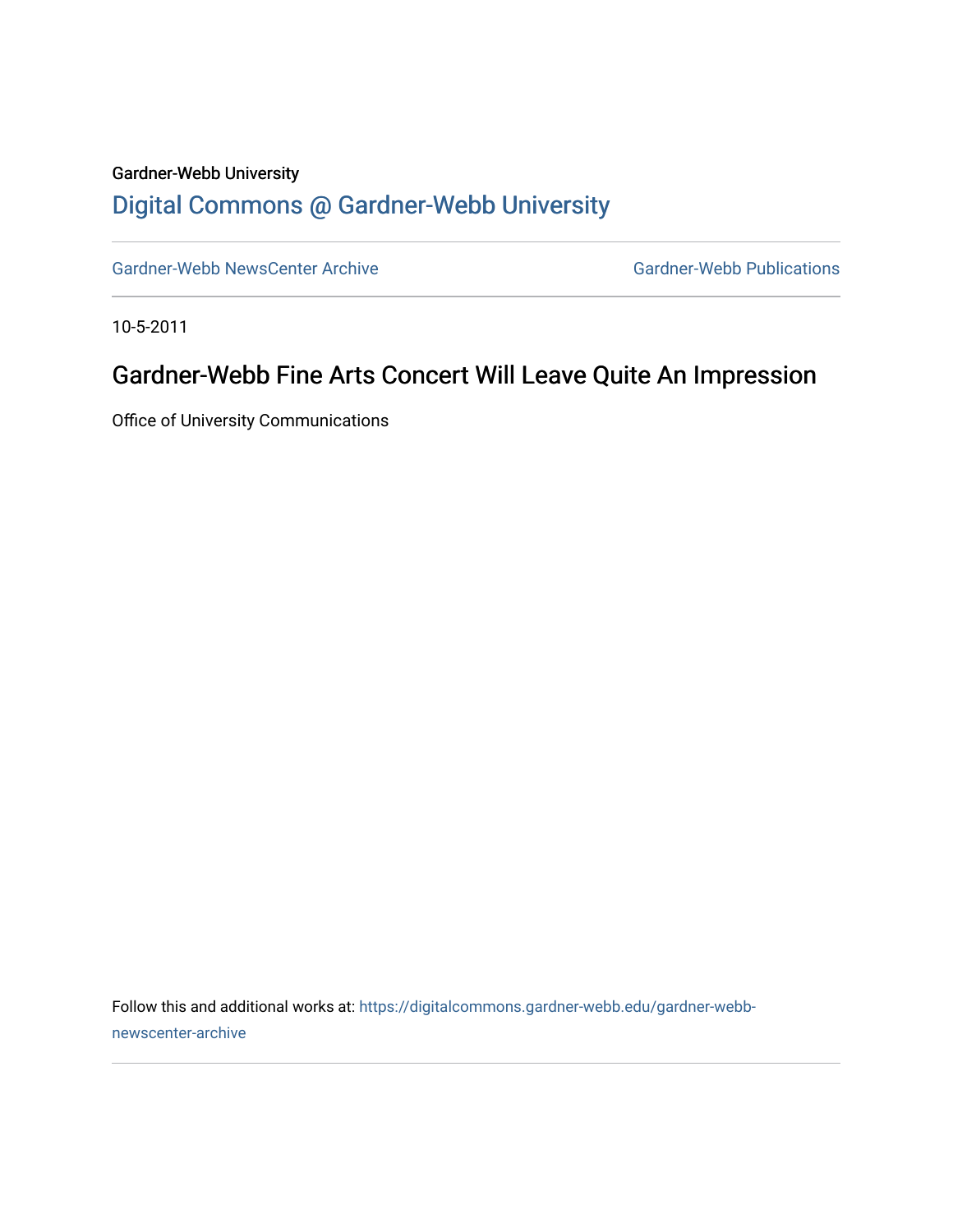## Gardner-Webb University [Digital Commons @ Gardner-Webb University](https://digitalcommons.gardner-webb.edu/)

[Gardner-Webb NewsCenter Archive](https://digitalcommons.gardner-webb.edu/gardner-webb-newscenter-archive) Gardner-Webb Publications

10-5-2011

## Gardner-Webb Fine Arts Concert Will Leave Quite An Impression

Office of University Communications

Follow this and additional works at: [https://digitalcommons.gardner-webb.edu/gardner-webb](https://digitalcommons.gardner-webb.edu/gardner-webb-newscenter-archive?utm_source=digitalcommons.gardner-webb.edu%2Fgardner-webb-newscenter-archive%2F1998&utm_medium=PDF&utm_campaign=PDFCoverPages)[newscenter-archive](https://digitalcommons.gardner-webb.edu/gardner-webb-newscenter-archive?utm_source=digitalcommons.gardner-webb.edu%2Fgardner-webb-newscenter-archive%2F1998&utm_medium=PDF&utm_campaign=PDFCoverPages)